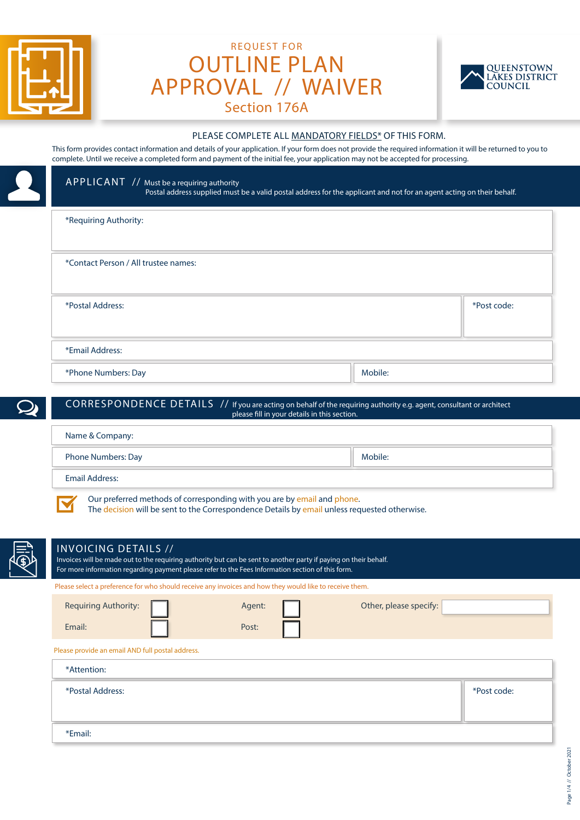

# REQUEST FOR OUTLINE PLAN APPROVAL // WAIVER Section 176A



#### PLEASE COMPLETE ALL MANDATORY FIELDS\* OF THIS FORM.

This form provides contact information and details of your application. If your form does not provide the required information it will be returned to you to complete. Until we receive a completed form and payment of the initial fee, your application may not be accepted for processing.

| *Requiring Authority:                |  |             |
|--------------------------------------|--|-------------|
| *Contact Person / All trustee names: |  |             |
| *Postal Address:                     |  | *Post code: |
|                                      |  |             |

## CORRESPONDENCE DETAILS // If you are acting on behalf of the requiring authority e.g. agent, consultant or architect please fill in your details in this section. Name & Company: Phone Numbers: Day Mobile: New York 2014 19:00 19:00 19:00 19:00 19:00 19:00 19:00 19:00 19:00 19:00 19:00 19:00 19:00 19:00 19:00 19:00 19:00 19:00 19:00 19:00 19:00 19:00 19:00 19:00 19:00 19:00 19:00 19:00 19:00 19:00 1 Email Address:

Our preferred methods of corresponding with you are by email and phone.

The decision will be sent to the Correspondence Details by email unless requested otherwise.

|                                                  | Please select a preference for who should receive any invoices and how they would like to receive them. |                        |
|--------------------------------------------------|---------------------------------------------------------------------------------------------------------|------------------------|
| <b>Requiring Authority:</b>                      | Agent:                                                                                                  | Other, please specify: |
| Email:                                           | Post:                                                                                                   |                        |
| Please provide an email AND full postal address. |                                                                                                         |                        |

\*Postal Address: \*Post code:

\*Email:

INVOICING DE TAILS //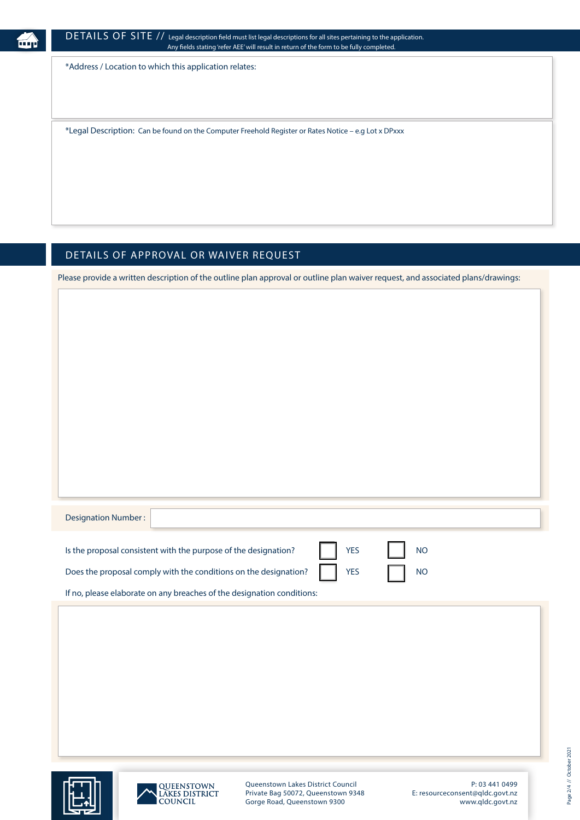

\*Address / Location to which this application relates:

\*Legal Description: Can be found on the Computer Freehold Register or Rates Notice – e.g Lot x DPxxx

### DETAILS OF APPROVAL OR WAIVER REQUEST

Please provide a written description of the outline plan approval or outline plan waiver request, and associated plans/drawings:

| Designation Number: |  |
|---------------------|--|
|                     |  |

Does the proposal comply with the conditions on the designation?  $\|\cdot\|$  YES  $\|\cdot\|$  NO

| Is the proposal consistent with the purpose of the designation? The YES NO            |  |  |
|---------------------------------------------------------------------------------------|--|--|
| Does the proposal comply with the conditions on the designation? $\Box$ YES $\Box$ NO |  |  |

If no, please elaborate on any breaches of the designation conditions:





Queenstown Lakes District Council Private Bag 50072, Queenstown 9348 Gorge Road, Queenstown 9300

P: 03 441 0499 E: resourceconsent@qldc.govt.nz www.qldc.govt.nz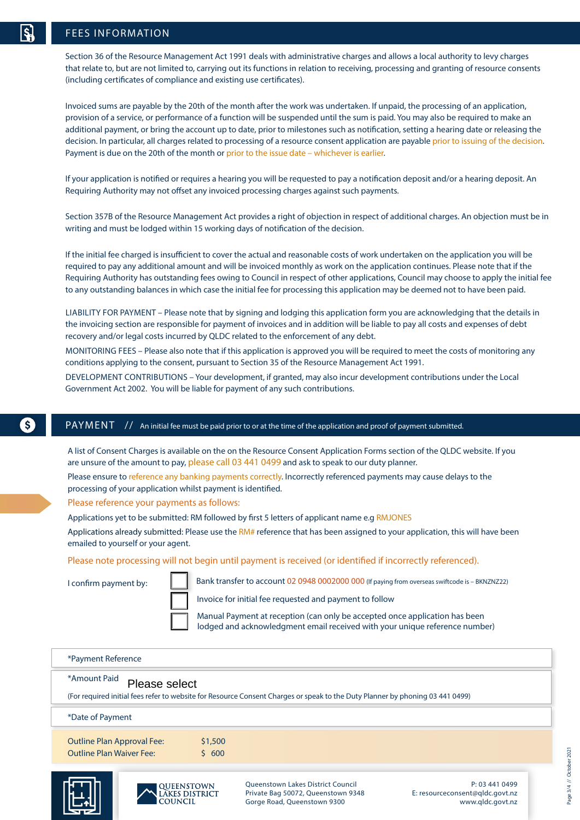## FEES INFORMATION

Section 36 of the Resource Management Act 1991 deals with administrative charges and allows a local authority to levy charges that relate to, but are not limited to, carrying out its functions in relation to receiving, processing and granting of resource consents (including certificates of compliance and existing use certificates).

Invoiced sums are payable by the 20th of the month after the work was undertaken. If unpaid, the processing of an application, provision of a service, or performance of a function will be suspended until the sum is paid. You may also be required to make an additional payment, or bring the account up to date, prior to milestones such as notification, setting a hearing date or releasing the decision. In particular, all charges related to processing of a resource consent application are payable prior to issuing of the decision. Payment is due on the 20th of the month or prior to the issue date – whichever is earlier.

If your application is notified or requires a hearing you will be requested to pay a notification deposit and/or a hearing deposit. An Requiring Authority may not offset any invoiced processing charges against such payments.

Section 357B of the Resource Management Act provides a right of objection in respect of additional charges. An objection must be in writing and must be lodged within 15 working days of notification of the decision.

If the initial fee charged is insufficient to cover the actual and reasonable costs of work undertaken on the application you will be required to pay any additional amount and will be invoiced monthly as work on the application continues. Please note that if the Requiring Authority has outstanding fees owing to Council in respect of other applications, Council may choose to apply the initial fee to any outstanding balances in which case the initial fee for processing this application may be deemed not to have been paid.

LIABILITY FOR PAYMENT – Please note that by signing and lodging this application form you are acknowledging that the details in the invoicing section are responsible for payment of invoices and in addition will be liable to pay all costs and expenses of debt recovery and/or legal costs incurred by QLDC related to the enforcement of any debt.

MONITORING FEES – Please also note that if this application is approved you will be required to meet the costs of monitoring any conditions applying to the consent, pursuant to Section 35 of the Resource Management Act 1991.

DEVELOPMENT CONTRIBUTIONS – Your development, if granted, may also incur development contributions under the Local Government Act 2002. You will be liable for payment of any such contributions.

#### PAYMENT // An initial fee must be paid prior to or at the time of the application and proof of payment submitted.

A list of Consent Charges is available on the on the Resource Consent Application Forms section of the QLDC website. If you are unsure of the amount to pay, please call 03 441 0499 and ask to speak to our duty planner.

Please ensure to reference any banking payments correctly. Incorrectly referenced payments may cause delays to the processing of your application whilst payment is identified.

Please reference your payments as follows:

Applications yet to be submitted: RM followed by first 5 letters of applicant name e.g RMJONES

Applications already submitted: Please use the RM# reference that has been assigned to your application, this will have been emailed to yourself or your agent.

Please note processing will not begin until payment is received (or identified if incorrectly referenced).

I confirm payment by:

Invoice for initial fee requested and payment to follow

Manual Payment at reception (can only be accepted once application has been lodged and acknowledgment email received with your unique reference number)

Bank transfer to account 02 0948 0002000 000 (If paying from overseas swiftcode is - BKNZNZ22)

| *Payment Reference                                                   |                                                                                                                               |
|----------------------------------------------------------------------|-------------------------------------------------------------------------------------------------------------------------------|
| *Amount Paid<br>Please select                                        | (For required initial fees refer to website for Resource Consent Charges or speak to the Duty Planner by phoning 03 441 0499) |
| *Date of Payment                                                     |                                                                                                                               |
| <b>Outline Plan Approval Fee:</b><br><b>Outline Plan Waiver Fee:</b> | \$1,500<br>\$600                                                                                                              |
|                                                                      |                                                                                                                               |





Queenstown Lakes District Council Private Bag 50072, Queenstown 9348 Gorge Road, Queenstown 9300

P: 03 441 0499 E: resourceconsent@qldc.govt.nz www.qldc.govt.nz